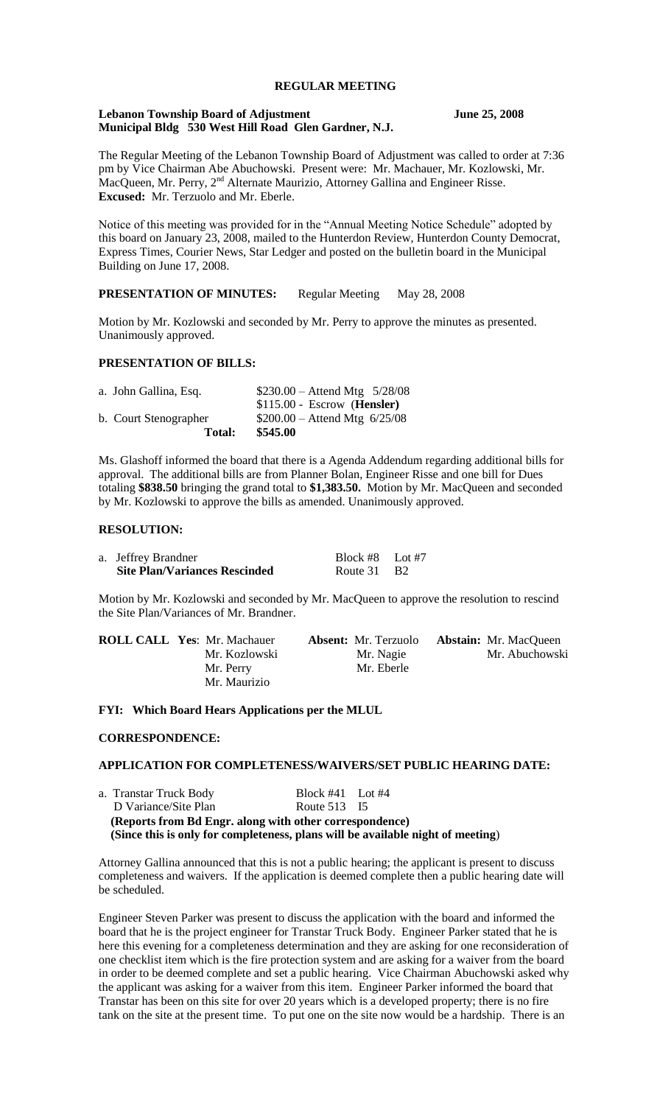# **REGULAR MEETING**

#### **Lebanon Township Board of Adjustment June 25, 2008 Municipal Bldg 530 West Hill Road Glen Gardner, N.J.**

The Regular Meeting of the Lebanon Township Board of Adjustment was called to order at 7:36 pm by Vice Chairman Abe Abuchowski. Present were: Mr. Machauer, Mr. Kozlowski, Mr. MacQueen, Mr. Perry,  $2<sup>nd</sup>$  Alternate Maurizio, Attorney Gallina and Engineer Risse. **Excused:** Mr. Terzuolo and Mr. Eberle.

Notice of this meeting was provided for in the "Annual Meeting Notice Schedule" adopted by this board on January 23, 2008, mailed to the Hunterdon Review, Hunterdon County Democrat, Express Times, Courier News, Star Ledger and posted on the bulletin board in the Municipal Building on June 17, 2008.

# **PRESENTATION OF MINUTES:** Regular Meeting May 28, 2008

Motion by Mr. Kozlowski and seconded by Mr. Perry to approve the minutes as presented. Unanimously approved.

## **PRESENTATION OF BILLS:**

| a. John Gallina, Esq. | $$230.00 -$ Attend Mtg $5/28/08$ |
|-----------------------|----------------------------------|
|                       | $$115.00 - Escrow$ (Hensler)     |
| b. Court Stenographer | $$200.00 -$ Attend Mtg 6/25/08   |
| <b>Total:</b>         | \$545.00                         |

Ms. Glashoff informed the board that there is a Agenda Addendum regarding additional bills for approval. The additional bills are from Planner Bolan, Engineer Risse and one bill for Dues totaling **\$838.50** bringing the grand total to **\$1,383.50.** Motion by Mr. MacQueen and seconded by Mr. Kozlowski to approve the bills as amended. Unanimously approved.

#### **RESOLUTION:**

| a. Jeffrey Brandner                  | Block #8 Lot #7 |  |
|--------------------------------------|-----------------|--|
| <b>Site Plan/Variances Rescinded</b> | Route 31 B2     |  |

Motion by Mr. Kozlowski and seconded by Mr. MacQueen to approve the resolution to rescind the Site Plan/Variances of Mr. Brandner.

| <b>ROLL CALL Yes: Mr. Machauer</b> | <b>Absent:</b> Mr. Terzuolo | <b>Abstain:</b> Mr. MacQueen |
|------------------------------------|-----------------------------|------------------------------|
| Mr. Kozlowski                      | Mr. Nagie                   | Mr. Abuchowski               |
| Mr. Perry                          | Mr. Eberle                  |                              |
| Mr. Maurizio                       |                             |                              |

**FYI: Which Board Hears Applications per the MLUL**

### **CORRESPONDENCE:**

## **APPLICATION FOR COMPLETENESS/WAIVERS/SET PUBLIC HEARING DATE:**

| (Since this is only for completeness, plans will be available night of meeting) |                      |  |  |  |
|---------------------------------------------------------------------------------|----------------------|--|--|--|
| (Reports from Bd Engr. along with other correspondence)                         |                      |  |  |  |
| D Variance/Site Plan                                                            | Route 513 15         |  |  |  |
| a. Transtar Truck Body                                                          | Block $#41$ Lot $#4$ |  |  |  |

Attorney Gallina announced that this is not a public hearing; the applicant is present to discuss completeness and waivers. If the application is deemed complete then a public hearing date will be scheduled.

Engineer Steven Parker was present to discuss the application with the board and informed the board that he is the project engineer for Transtar Truck Body. Engineer Parker stated that he is here this evening for a completeness determination and they are asking for one reconsideration of one checklist item which is the fire protection system and are asking for a waiver from the board in order to be deemed complete and set a public hearing. Vice Chairman Abuchowski asked why the applicant was asking for a waiver from this item. Engineer Parker informed the board that Transtar has been on this site for over 20 years which is a developed property; there is no fire tank on the site at the present time. To put one on the site now would be a hardship. There is an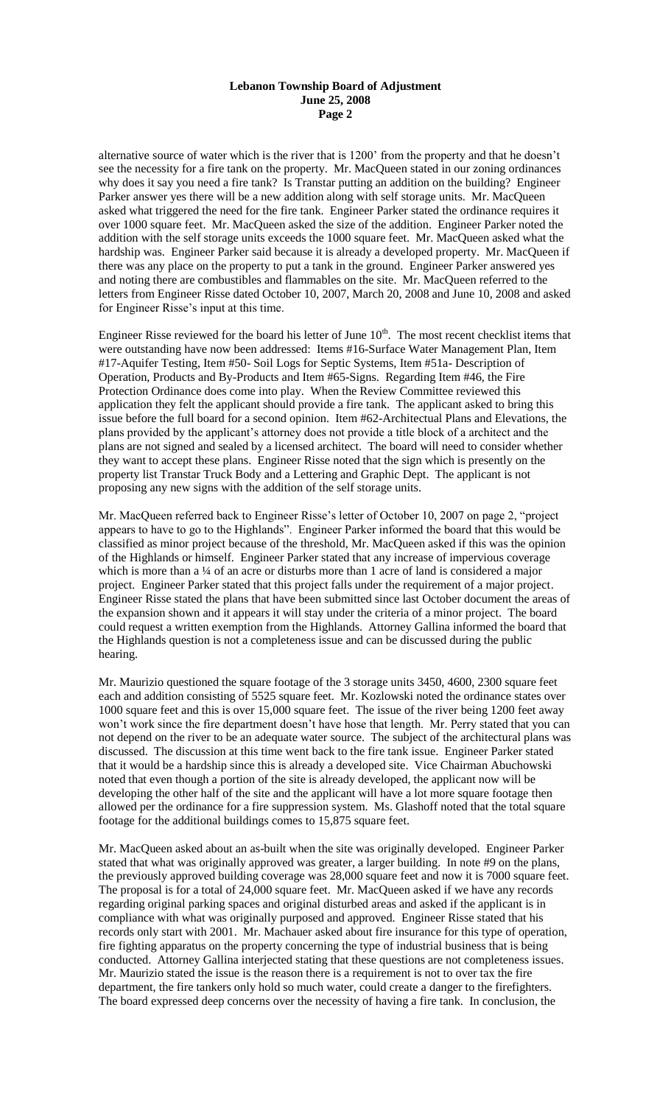#### **Lebanon Township Board of Adjustment June 25, 2008 Page 2**

alternative source of water which is the river that is 1200' from the property and that he doesn't see the necessity for a fire tank on the property. Mr. MacQueen stated in our zoning ordinances why does it say you need a fire tank? Is Transtar putting an addition on the building? Engineer Parker answer yes there will be a new addition along with self storage units. Mr. MacQueen asked what triggered the need for the fire tank. Engineer Parker stated the ordinance requires it over 1000 square feet. Mr. MacQueen asked the size of the addition. Engineer Parker noted the addition with the self storage units exceeds the 1000 square feet. Mr. MacQueen asked what the hardship was. Engineer Parker said because it is already a developed property. Mr. MacQueen if there was any place on the property to put a tank in the ground. Engineer Parker answered yes and noting there are combustibles and flammables on the site. Mr. MacQueen referred to the letters from Engineer Risse dated October 10, 2007, March 20, 2008 and June 10, 2008 and asked for Engineer Risse's input at this time.

Engineer Risse reviewed for the board his letter of June  $10<sup>th</sup>$ . The most recent checklist items that were outstanding have now been addressed: Items #16-Surface Water Management Plan, Item #17-Aquifer Testing, Item #50- Soil Logs for Septic Systems, Item #51a- Description of Operation, Products and By-Products and Item #65-Signs. Regarding Item #46, the Fire Protection Ordinance does come into play. When the Review Committee reviewed this application they felt the applicant should provide a fire tank. The applicant asked to bring this issue before the full board for a second opinion. Item #62-Architectual Plans and Elevations, the plans provided by the applicant's attorney does not provide a title block of a architect and the plans are not signed and sealed by a licensed architect. The board will need to consider whether they want to accept these plans. Engineer Risse noted that the sign which is presently on the property list Transtar Truck Body and a Lettering and Graphic Dept. The applicant is not proposing any new signs with the addition of the self storage units.

Mr. MacQueen referred back to Engineer Risse's letter of October 10, 2007 on page 2, "project appears to have to go to the Highlands". Engineer Parker informed the board that this would be classified as minor project because of the threshold, Mr. MacQueen asked if this was the opinion of the Highlands or himself. Engineer Parker stated that any increase of impervious coverage which is more than a ¼ of an acre or disturbs more than 1 acre of land is considered a major project. Engineer Parker stated that this project falls under the requirement of a major project. Engineer Risse stated the plans that have been submitted since last October document the areas of the expansion shown and it appears it will stay under the criteria of a minor project. The board could request a written exemption from the Highlands. Attorney Gallina informed the board that the Highlands question is not a completeness issue and can be discussed during the public hearing.

Mr. Maurizio questioned the square footage of the 3 storage units 3450, 4600, 2300 square feet each and addition consisting of 5525 square feet. Mr. Kozlowski noted the ordinance states over 1000 square feet and this is over 15,000 square feet. The issue of the river being 1200 feet away won't work since the fire department doesn't have hose that length. Mr. Perry stated that you can not depend on the river to be an adequate water source. The subject of the architectural plans was discussed. The discussion at this time went back to the fire tank issue. Engineer Parker stated that it would be a hardship since this is already a developed site. Vice Chairman Abuchowski noted that even though a portion of the site is already developed, the applicant now will be developing the other half of the site and the applicant will have a lot more square footage then allowed per the ordinance for a fire suppression system. Ms. Glashoff noted that the total square footage for the additional buildings comes to 15,875 square feet.

Mr. MacQueen asked about an as-built when the site was originally developed. Engineer Parker stated that what was originally approved was greater, a larger building. In note #9 on the plans, the previously approved building coverage was 28,000 square feet and now it is 7000 square feet. The proposal is for a total of 24,000 square feet. Mr. MacQueen asked if we have any records regarding original parking spaces and original disturbed areas and asked if the applicant is in compliance with what was originally purposed and approved. Engineer Risse stated that his records only start with 2001. Mr. Machauer asked about fire insurance for this type of operation, fire fighting apparatus on the property concerning the type of industrial business that is being conducted. Attorney Gallina interjected stating that these questions are not completeness issues. Mr. Maurizio stated the issue is the reason there is a requirement is not to over tax the fire department, the fire tankers only hold so much water, could create a danger to the firefighters. The board expressed deep concerns over the necessity of having a fire tank. In conclusion, the